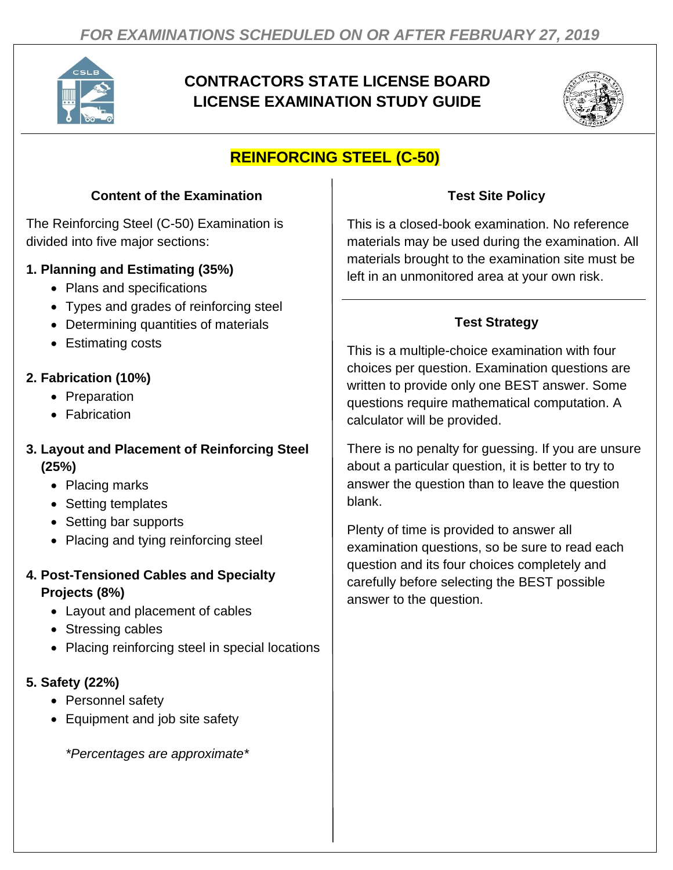

# **CONTRACTORS STATE LICENSE BOARD LICENSE EXAMINATION STUDY GUIDE**



## **REINFORCING STEEL (C-50)**

#### **Content of the Examination**

The Reinforcing Steel (C-50) Examination is divided into five major sections:

#### **1. Planning and Estimating (35%)**

- Plans and specifications
- Types and grades of reinforcing steel
- Determining quantities of materials
- Estimating costs

## **2. Fabrication (10%)**

- Preparation
- Fabrication

#### **3. Layout and Placement of Reinforcing Steel (25%)**

- Placing marks
- Setting templates
- Setting bar supports
- Placing and tying reinforcing steel

#### **4. Post-Tensioned Cables and Specialty Projects (8%)**

- Layout and placement of cables
- Stressing cables
- Placing reinforcing steel in special locations

### **5. Safety (22%)**

- Personnel safety
- Equipment and job site safety

*\*Percentages are approximate\**

### **Test Site Policy**

This is a closed-book examination. No reference materials may be used during the examination. All materials brought to the examination site must be left in an unmonitored area at your own risk.

## **Test Strategy**

This is a multiple-choice examination with four choices per question. Examination questions are written to provide only one BEST answer. Some questions require mathematical computation. A calculator will be provided.

There is no penalty for guessing. If you are unsure about a particular question, it is better to try to answer the question than to leave the question blank.

Plenty of time is provided to answer all examination questions, so be sure to read each question and its four choices completely and carefully before selecting the BEST possible answer to the question.